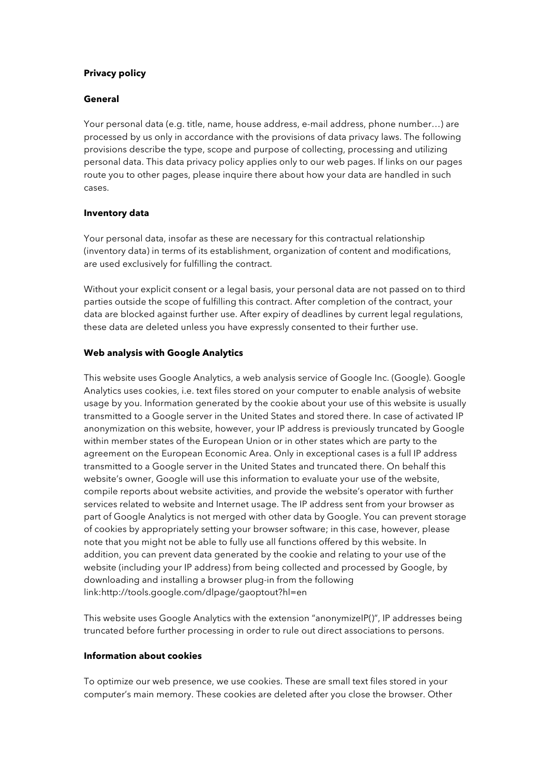# **Privacy policy**

### **General**

Your personal data (e.g. title, name, house address, e-mail address, phone number…) are processed by us only in accordance with the provisions of data privacy laws. The following provisions describe the type, scope and purpose of collecting, processing and utilizing personal data. This data privacy policy applies only to our web pages. If links on our pages route you to other pages, please inquire there about how your data are handled in such cases.

## **Inventory data**

Your personal data, insofar as these are necessary for this contractual relationship (inventory data) in terms of its establishment, organization of content and modifications, are used exclusively for fulfilling the contract.

Without your explicit consent or a legal basis, your personal data are not passed on to third parties outside the scope of fulfilling this contract. After completion of the contract, your data are blocked against further use. After expiry of deadlines by current legal regulations, these data are deleted unless you have expressly consented to their further use.

### **Web analysis with Google Analytics**

This website uses Google Analytics, a web analysis service of Google Inc. (Google). Google Analytics uses cookies, i.e. text files stored on your computer to enable analysis of website usage by you. Information generated by the cookie about your use of this website is usually transmitted to a Google server in the United States and stored there. In case of activated IP anonymization on this website, however, your IP address is previously truncated by Google within member states of the European Union or in other states which are party to the agreement on the European Economic Area. Only in exceptional cases is a full IP address transmitted to a Google server in the United States and truncated there. On behalf this website's owner, Google will use this information to evaluate your use of the website, compile reports about website activities, and provide the website's operator with further services related to website and Internet usage. The IP address sent from your browser as part of Google Analytics is not merged with other data by Google. You can prevent storage of cookies by appropriately setting your browser software; in this case, however, please note that you might not be able to fully use all functions offered by this website. In addition, you can prevent data generated by the cookie and relating to your use of the website (including your IP address) from being collected and processed by Google, by downloading and installing a browser plug-in from the following link:http://tools.google.com/dlpage/gaoptout?hl=en

This website uses Google Analytics with the extension "anonymizeIP()", IP addresses being truncated before further processing in order to rule out direct associations to persons.

#### **Information about cookies**

To optimize our web presence, we use cookies. These are small text files stored in your computer's main memory. These cookies are deleted after you close the browser. Other